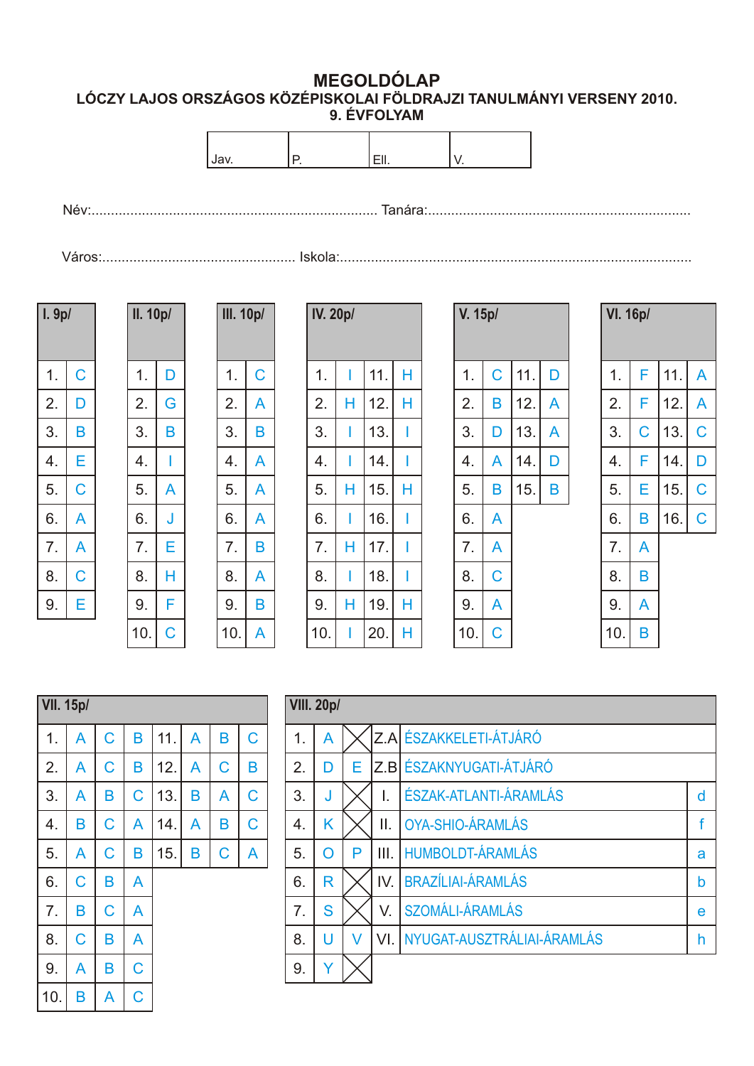**MEGOLDÓLAP LÓCZY LAJOS ORSZÁGOS KÖZÉPISKOLAI FÖLDRAJZI TANULMÁNYI VERSENY 2010.**

| 9. EVFOLYAM |  |
|-------------|--|
|-------------|--|



| l. 9p/ |   |
|--------|---|
| 1.     | С |
| 2.     | D |
| 3.     | В |
| 4.     | Ε |
| 5.     | С |
| 6.     | А |
| 7.     |   |
| 8.     | С |
| 9.     | Е |
|        |   |

| .9p/ |   | <b>II. 10p/</b> |   | <b>III. 10p/</b> |   |
|------|---|-----------------|---|------------------|---|
|      |   |                 |   |                  |   |
| 1.   | C | 1.              | D | $\mathbf 1$ .    | C |
| 2.   | D | 2.              | G | 2.               | A |
| 3.   | B | 3.              | B | 3.               | B |
| 4.   | E | 4.              | I | 4.               | A |
| 5.   | C | 5.              | A | 5.               | A |
| 6.   | A | 6.              | J | 6.               | A |
| 7.   | A | 7.              | E | 7.               | B |
| 8.   | C | 8.              | H | 8.               | A |
| 9.   | E | 9.              | F | 9.               | B |
|      |   | 10.             | Ċ | 10.              | A |

| <b>IV. 20p/</b> |   |     |   | V. 15p/ |   |     | <b>VI. 16p/</b> |     |   |     |   |
|-----------------|---|-----|---|---------|---|-----|-----------------|-----|---|-----|---|
| 1.              |   | 11. | Н | 1.      | C | 11. | D               | 1.  | F | 11. | A |
| 2.              | н | 12. | Н | 2.      | B | 12. | A               | 2.  | F | 12. | A |
| 3.              | ı | 13. |   | 3.      | D | 13. | A               | 3.  | C | 13. | C |
| 4.              |   | 14. |   | 4.      | A | 14. | D               | 4.  | F | 14. | D |
| 5.              | Н | 15. | Н | 5.      | Β | 15. | B               | 5.  | E | 15. | C |
| 6.              | ı | 16. |   | 6.      | A |     |                 | 6.  | B | 16. | C |
| 7.              | Н | 17. |   | 7.      | A |     |                 | 7.  | A |     |   |
| 8.              | I | 18. | I | 8.      | C |     |                 | 8.  | B |     |   |
| 9.              | Н | 19. | Н | 9.      | A |     |                 | 9.  | A |     |   |
| 10.             |   | 20. | Н | 10.     | C |     |                 | 10. | B |     |   |

| p/ |     |   | V. 15p/ |   |     |   | <b>VI. 16p/</b> |   |     |
|----|-----|---|---------|---|-----|---|-----------------|---|-----|
| 1  | 11. | Н | 1.      | C | 11. | D | 1.              | F | 11. |
| Н  | 12. | Н | 2.      | B | 12. | A | 2.              | F | 12. |
| 1  | 13. | I | 3.      | D | 13. | A | 3.              | C | 13. |
| 1  | 14. | I | 4.      | A | 14. | D | 4.              | F | 14. |
| Н  | 15. | Н | 5.      | B | 15. | B | 5.              | Е | 15. |
| 1  | 16. | ı | 6.      | A |     |   | 6.              | B | 16. |
| H  | 17. | I | 7.      | A |     |   | 7.              | Α |     |
| 1  | 18. |   | 8.      | C |     |   | 8.              | Β |     |
| H  | 19. | Н | 9.      | A |     |   | 9.              | A |     |
| 1  | 20. | Н | 10.     | C |     |   | 10.             | Β |     |

| p/ |     |   | <b>V. 15p/</b> |   |     |   | <b>VI. 16p/</b> |             |     |             |
|----|-----|---|----------------|---|-----|---|-----------------|-------------|-----|-------------|
| 1  | 11. | Н | 1.             | C | 11. | D | 1.              | F           | 11. | A           |
| H  | 12. | Н | 2.             | Β | 12. | A | 2.              | F           | 12. | A           |
| 1  | 13. | I | 3.             | D | 13. | A | 3.              | $\mathsf C$ | 13. | С           |
| 1  | 14. | I | 4.             | A | 14. | D | 4.              | F           | 14. | D           |
| Н  | 15. | Н | 5.             | Β | 15. | Β | 5.              | Е           | 15. | $\mathsf C$ |
| 1  | 16. | I | 6.             | A |     |   | 6.              | Β           | 16. | $\mathsf C$ |
| Н  | 17. | I | 7.             | A |     |   | 7.              | A           |     |             |
| 1  | 18. | I | 8.             | C |     |   | 8.              | Β           |     |             |
| Н  | 19. | Н | 9.             | A |     |   | 9.              | A           |     |             |
| 1  | 20. | Н | 10.            | C |     |   | 10.             | Β           |     |             |

| <b>VII. 15p/</b> |   |                |   |     |   |                |   |
|------------------|---|----------------|---|-----|---|----------------|---|
| 1.               | A | $\overline{C}$ | B | 11. | A | B              | C |
| 2.               | A | C              | B | 12. | A | $\overline{C}$ | B |
| 3.               | A | B              | C | 13. | B | A              | C |
| 4.               | B | $\mathsf C$    | A | 14. | A | B              | C |
| 5.               | A | C              | B | 15. | B | $\overline{C}$ | A |
| 6.               | C | B              | A |     |   |                |   |
| 7.               | B | $\mathsf C$    | A |     |   |                |   |
| 8.               | C | B              | A |     |   |                |   |
| 9.               | A | B              | Ć |     |   |                |   |
| 10.              | B | A              | Ć |     |   |                |   |

| <b>VIII. 20p/</b> |   |   |      |                                |   |
|-------------------|---|---|------|--------------------------------|---|
| 1.                | A |   |      | Z.A ÉSZAKKELETI-ÁTJÁRÓ         |   |
| 2.                | D | E |      | Z.B ÉSZAKNYUGATI-ÁTJÁRÓ        |   |
| 3.                | J |   | I.   | <b>ÉSZAK-ATLANTI-ÁRAMLÁS</b>   | d |
| 4.                | Κ |   | Π.   | OYA-SHIO-ÁRAMLÁS               | f |
| 5.                | O | P | III. | <b>HUMBOLDT-ÁRAMLÁS</b>        | a |
| 6.                | R |   | IV.  | <b>BRAZÍLIAI-ÁRAMLÁS</b>       | b |
| $\overline{7}$ .  | S |   | V.   | <b>SZOMÁLI-ÁRAMLÁS</b>         | e |
| 8.                | U | V |      | VI. NYUGAT-AUSZTRÁLIAI-ÁRAMLÁS | h |
| 9.                | V |   |      |                                |   |